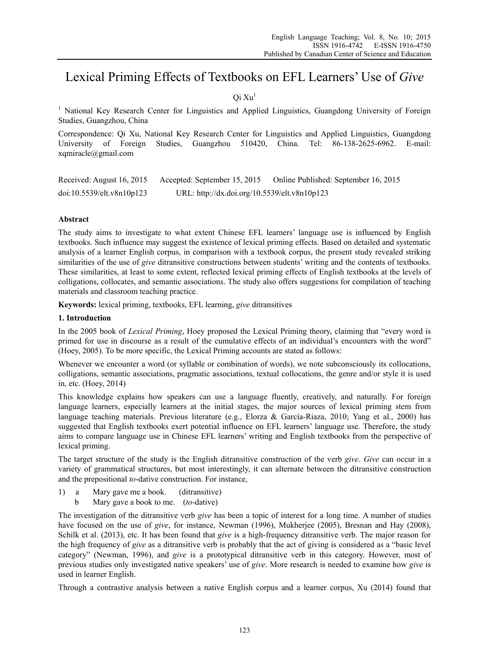# Lexical Priming Effects of Textbooks on EFL Learners' Use of *Give*

# Oi Xu<sup>1</sup>

<sup>1</sup> National Key Research Center for Linguistics and Applied Linguistics, Guangdong University of Foreign Studies, Guangzhou, China

Correspondence: Qi Xu, National Key Research Center for Linguistics and Applied Linguistics, Guangdong University of Foreign Studies, Guangzhou 510420, China. Tel: 86-138-2625-6962. E-mail: xqmiracle@gmail.com

Received: August 16, 2015 Accepted: September 15, 2015 Online Published: September 16, 2015 doi:10.5539/elt.v8n10p123 URL: http://dx.doi.org/10.5539/elt.v8n10p123

# **Abstract**

The study aims to investigate to what extent Chinese EFL learners' language use is influenced by English textbooks. Such influence may suggest the existence of lexical priming effects. Based on detailed and systematic analysis of a learner English corpus, in comparison with a textbook corpus, the present study revealed striking similarities of the use of *give* ditransitive constructions between students' writing and the contents of textbooks. These similarities, at least to some extent, reflected lexical priming effects of English textbooks at the levels of colligations, collocates, and semantic associations. The study also offers suggestions for compilation of teaching materials and classroom teaching practice.

**Keywords:** lexical priming, textbooks, EFL learning, *give* ditransitives

#### **1. Introduction**

In the 2005 book of *Lexical Priming*, Hoey proposed the Lexical Priming theory, claiming that "every word is primed for use in discourse as a result of the cumulative effects of an individual's encounters with the word" (Hoey, 2005). To be more specific, the Lexical Priming accounts are stated as follows:

Whenever we encounter a word (or syllable or combination of words), we note subconsciously its collocations, colligations, semantic associations, pragmatic associations, textual collocations, the genre and/or style it is used in, etc. (Hoey, 2014)

This knowledge explains how speakers can use a language fluently, creatively, and naturally. For foreign language learners, especially learners at the initial stages, the major sources of lexical priming stem from language teaching materials. Previous literature (e.g., Elorza & García-Riaza, 2010; Yang et al., 2000) has suggested that English textbooks exert potential influence on EFL learners' language use. Therefore, the study aims to compare language use in Chinese EFL learners' writing and English textbooks from the perspective of lexical priming.

The target structure of the study is the English ditransitive construction of the verb *give*. *Give* can occur in a variety of grammatical structures, but most interestingly, it can alternate between the ditransitive construction and the prepositional *to*-dative construction. For instance,

- 1) a Mary gave me a book. (ditransitive)
	- b Mary gave a book to me. (*to*-dative)

The investigation of the ditransitive verb *give* has been a topic of interest for a long time. A number of studies have focused on the use of *give*, for instance, Newman (1996), Mukherjee (2005), Bresnan and Hay (2008), Schilk et al. (2013), etc. It has been found that *give* is a high-frequency ditransitive verb. The major reason for the high frequency of *give* as a ditransitive verb is probably that the act of giving is considered as a "basic level category" (Newman, 1996), and *give* is a prototypical ditransitive verb in this category. However, most of previous studies only investigated native speakers' use of *give*. More research is needed to examine how *give* is used in learner English.

Through a contrastive analysis between a native English corpus and a learner corpus, Xu (2014) found that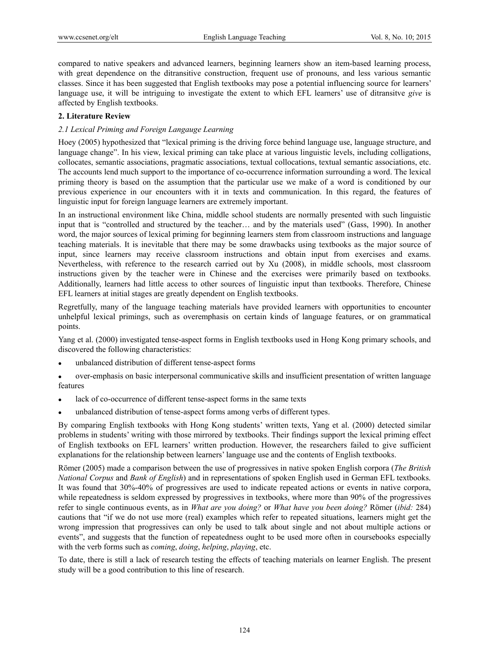compared to native speakers and advanced learners, beginning learners show an item-based learning process, with great dependence on the ditransitive construction, frequent use of pronouns, and less various semantic classes. Since it has been suggested that English textbooks may pose a potential influencing source for learners' language use, it will be intriguing to investigate the extent to which EFL learners' use of ditransitve *give* is affected by English textbooks.

#### **2. Literature Review**

### *2.1 Lexical Priming and Foreign Langauge Learning*

Hoey (2005) hypothesized that "lexical priming is the driving force behind language use, language structure, and language change". In his view, lexical priming can take place at various linguistic levels, including colligations, collocates, semantic associations, pragmatic associations, textual collocations, textual semantic associations, etc. The accounts lend much support to the importance of co-occurrence information surrounding a word. The lexical priming theory is based on the assumption that the particular use we make of a word is conditioned by our previous experience in our encounters with it in texts and communication. In this regard, the features of linguistic input for foreign language learners are extremely important.

In an instructional environment like China, middle school students are normally presented with such linguistic input that is "controlled and structured by the teacher… and by the materials used" (Gass, 1990). In another word, the major sources of lexical priming for beginning learners stem from classroom instructions and language teaching materials. It is inevitable that there may be some drawbacks using textbooks as the major source of input, since learners may receive classroom instructions and obtain input from exercises and exams. Nevertheless, with reference to the research carried out by Xu (2008), in middle schools, most classroom instructions given by the teacher were in Chinese and the exercises were primarily based on textbooks. Additionally, learners had little access to other sources of linguistic input than textbooks. Therefore, Chinese EFL learners at initial stages are greatly dependent on English textbooks.

Regretfully, many of the language teaching materials have provided learners with opportunities to encounter unhelpful lexical primings, such as overemphasis on certain kinds of language features, or on grammatical points.

Yang et al. (2000) investigated tense-aspect forms in English textbooks used in Hong Kong primary schools, and discovered the following characteristics:

- unbalanced distribution of different tense-aspect forms
- over-emphasis on basic interpersonal communicative skills and insufficient presentation of written language features
- lack of co-occurrence of different tense-aspect forms in the same texts
- unbalanced distribution of tense-aspect forms among verbs of different types.

By comparing English textbooks with Hong Kong students' written texts, Yang et al. (2000) detected similar problems in students' writing with those mirrored by textbooks. Their findings support the lexical priming effect of English textbooks on EFL learners' written production. However, the researchers failed to give sufficient explanations for the relationship between learners' language use and the contents of English textbooks.

Römer (2005) made a comparison between the use of progressives in native spoken English corpora (*The British National Corpus* and *Bank of English*) and in representations of spoken English used in German EFL textbooks. It was found that 30%-40% of progressives are used to indicate repeated actions or events in native corpora, while repeatedness is seldom expressed by progressives in textbooks, where more than 90% of the progressives refer to single continuous events, as in *What are you doing?* or *What have you been doing?* Römer (*ibid:* 284) cautions that "if we do not use more (real) examples which refer to repeated situations, learners might get the wrong impression that progressives can only be used to talk about single and not about multiple actions or events", and suggests that the function of repeatedness ought to be used more often in coursebooks especially with the verb forms such as *coming*, *doing*, *helping*, *playing*, etc.

To date, there is still a lack of research testing the effects of teaching materials on learner English. The present study will be a good contribution to this line of research.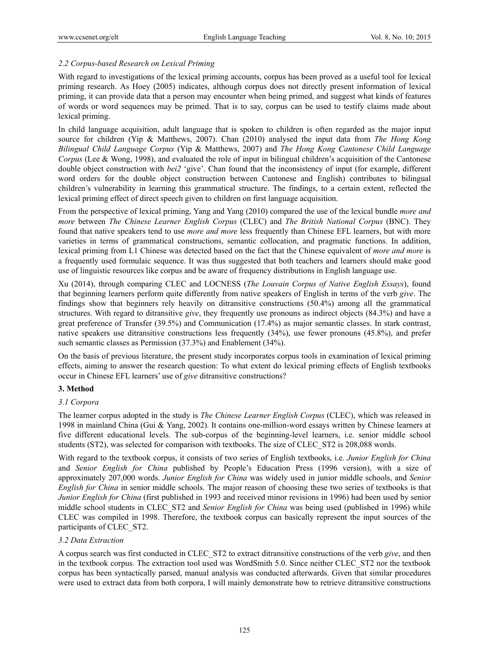#### *2.2 Corpus-based Research on Lexical Priming*

With regard to investigations of the lexical priming accounts, corpus has been proved as a useful tool for lexical priming research. As Hoey (2005) indicates, although corpus does not directly present information of lexical priming, it can provide data that a person may encounter when being primed, and suggest what kinds of features of words or word sequences may be primed. That is to say, corpus can be used to testify claims made about lexical priming.

In child language acquisition, adult language that is spoken to children is often regarded as the major input source for children (Yip & Matthews, 2007). Chan (2010) analysed the input data from *The Hong Kong Bilingual Child Language Corpus* (Yip & Matthews, 2007) and *The Hong Kong Cantonese Child Language Corpus* (Lee & Wong, 1998), and evaluated the role of input in bilingual children's acquisition of the Cantonese double object construction with *bei2* 'give'. Chan found that the inconsistency of input (for example, different word orders for the double object construction between Cantonese and English) contributes to bilingual children's vulnerability in learning this grammatical structure. The findings, to a certain extent, reflected the lexical priming effect of direct speech given to children on first language acquisition.

From the perspective of lexical priming, Yang and Yang (2010) compared the use of the lexical bundle *more and more* between *The Chinese Learner English Corpus* (CLEC) and *The British National Corpus* (BNC). They found that native speakers tend to use *more and more* less frequently than Chinese EFL learners, but with more varieties in terms of grammatical constructions, semantic collocation, and pragmatic functions. In addition, lexical priming from L1 Chinese was detected based on the fact that the Chinese equivalent of *more and more* is a frequently used formulaic sequence. It was thus suggested that both teachers and learners should make good use of linguistic resources like corpus and be aware of frequency distributions in English language use.

Xu (2014), through comparing CLEC and LOCNESS (*The Louvain Corpus of Native English Essays*), found that beginning learners perform quite differently from native speakers of English in terms of the verb *give*. The findings show that beginners rely heavily on ditransitive constructions (50.4%) among all the grammatical structures. With regard to ditransitive *give*, they frequently use pronouns as indirect objects (84.3%) and have a great preference of Transfer (39.5%) and Communication (17.4%) as major semantic classes. In stark contrast, native speakers use ditransitive constructions less frequently (34%), use fewer pronouns (45.8%), and prefer such semantic classes as Permission (37.3%) and Enablement (34%).

On the basis of previous literature, the present study incorporates corpus tools in examination of lexical priming effects, aiming to answer the research question: To what extent do lexical priming effects of English textbooks occur in Chinese EFL learners' use of *give* ditransitive constructions?

#### **3. Method**

#### *3.1 Corpora*

The learner corpus adopted in the study is *The Chinese Learner English Corpus* (CLEC), which was released in 1998 in mainland China (Gui & Yang, 2002). It contains one-million-word essays written by Chinese learners at five different educational levels. The sub-corpus of the beginning-level learners, i.e. senior middle school students (ST2), was selected for comparison with textbooks. The size of CLEC\_ST2 is 208,088 words.

With regard to the textbook corpus, it consists of two series of English textbooks, i.e. *Junior English for China*  and *Senior English for China* published by People's Education Press (1996 version), with a size of approximately 207,000 words. *Junior English for China* was widely used in junior middle schools, and *Senior English for China* in senior middle schools. The major reason of choosing these two series of textbooks is that *Junior English for China* (first published in 1993 and received minor revisions in 1996) had been used by senior middle school students in CLEC\_ST2 and *Senior English for China* was being used (published in 1996) while CLEC was compiled in 1998. Therefore, the textbook corpus can basically represent the input sources of the participants of CLEC\_ST2.

#### *3.2 Data Extraction*

A corpus search was first conducted in CLEC\_ST2 to extract ditransitive constructions of the verb *give*, and then in the textbook corpus. The extraction tool used was WordSmith 5.0. Since neither CLEC\_ST2 nor the textbook corpus has been syntactically parsed, manual analysis was conducted afterwards. Given that similar procedures were used to extract data from both corpora, I will mainly demonstrate how to retrieve ditransitive constructions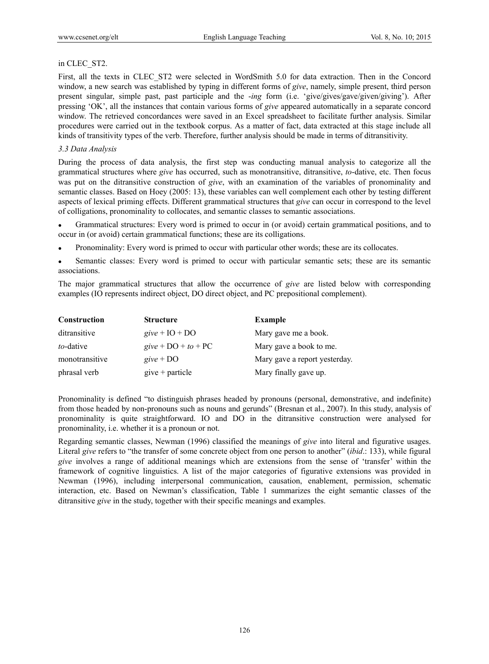#### in CLEC\_ST2.

First, all the texts in CLEC\_ST2 were selected in WordSmith 5.0 for data extraction. Then in the Concord window, a new search was established by typing in different forms of *give*, namely, simple present, third person present singular, simple past, past participle and the -*ing* form (i.e. 'give/gives/gave/given/giving'). After pressing 'OK', all the instances that contain various forms of *give* appeared automatically in a separate concord window. The retrieved concordances were saved in an Excel spreadsheet to facilitate further analysis. Similar procedures were carried out in the textbook corpus. As a matter of fact, data extracted at this stage include all kinds of transitivity types of the verb. Therefore, further analysis should be made in terms of ditransitivity.

#### *3.3 Data Analysis*

During the process of data analysis, the first step was conducting manual analysis to categorize all the grammatical structures where *give* has occurred, such as monotransitive, ditransitive, *to*-dative, etc. Then focus was put on the ditransitive construction of *give*, with an examination of the variables of pronominality and semantic classes. Based on Hoey (2005: 13), these variables can well complement each other by testing different aspects of lexical priming effects. Different grammatical structures that *give* can occur in correspond to the level of colligations, pronominality to collocates, and semantic classes to semantic associations.

 Grammatical structures: Every word is primed to occur in (or avoid) certain grammatical positions, and to occur in (or avoid) certain grammatical functions; these are its colligations.

Pronominality: Every word is primed to occur with particular other words; these are its collocates.

 Semantic classes: Every word is primed to occur with particular semantic sets; these are its semantic associations.

The major grammatical structures that allow the occurrence of *give* are listed below with corresponding examples (IO represents indirect object, DO direct object, and PC prepositional complement).

| Construction   | <b>Structure</b>      | <b>Example</b>                |
|----------------|-----------------------|-------------------------------|
| ditransitive   | $give + IO + DO$      | Mary gave me a book.          |
| to-dative      | give + $DO + to + PC$ | Mary gave a book to me.       |
| monotransitive | give + $DO$           | Mary gave a report yesterday. |
| phrasal verb   | $give + particle$     | Mary finally gave up.         |

Pronominality is defined "to distinguish phrases headed by pronouns (personal, demonstrative, and indefinite) from those headed by non-pronouns such as nouns and gerunds" (Bresnan et al., 2007). In this study, analysis of pronominality is quite straightforward. IO and DO in the ditransitive construction were analysed for pronominality, i.e. whether it is a pronoun or not.

Regarding semantic classes, Newman (1996) classified the meanings of *give* into literal and figurative usages. Literal *give* refers to "the transfer of some concrete object from one person to another" (*ibid*.: 133), while figural *give* involves a range of additional meanings which are extensions from the sense of 'transfer' within the framework of cognitive linguistics. A list of the major categories of figurative extensions was provided in Newman (1996), including interpersonal communication, causation, enablement, permission, schematic interaction, etc. Based on Newman's classification, Table 1 summarizes the eight semantic classes of the ditransitive *give* in the study, together with their specific meanings and examples.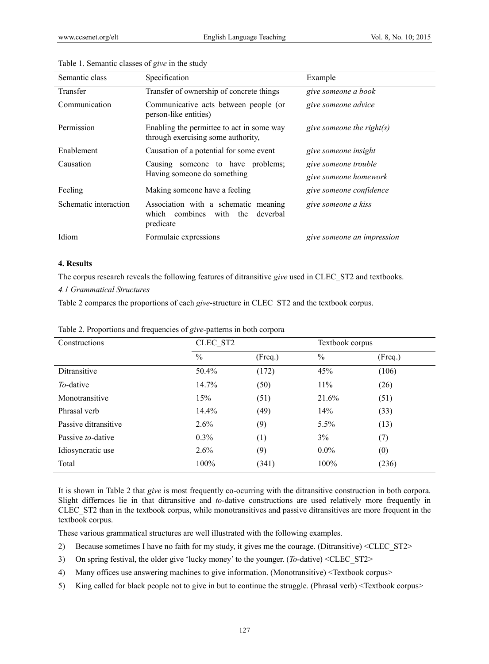| Semantic class        | Specification                                                                                  | Example                    |
|-----------------------|------------------------------------------------------------------------------------------------|----------------------------|
| Transfer              | Transfer of ownership of concrete things                                                       | give someone a book        |
| Communication         | Communicative acts between people (or<br>person-like entities)                                 | give someone advice        |
| Permission            | Enabling the permittee to act in some way<br>through exercising some authority,                | give someone the right(s)  |
| Enablement            | Causation of a potential for some event                                                        | give someone insight       |
| Causation             | Causing someone to have problems;                                                              | give someone trouble       |
|                       | Having someone do something                                                                    | give someone homework      |
| Feeling               | Making someone have a feeling                                                                  | give someone confidence    |
| Schematic interaction | Association with a schematic meaning<br>combines<br>with the<br>deverbal<br>which<br>predicate | give someone a kiss        |
| Idiom                 | Formulaic expressions                                                                          | give someone an impression |

#### Table 1. Semantic classes of *give* in the study

#### **4. Results**

The corpus research reveals the following features of ditransitive *give* used in CLEC\_ST2 and textbooks.

#### *4.1 Grammatical Structures*

Table 2 compares the proportions of each *give*-structure in CLEC\_ST2 and the textbook corpus.

| Constructions        | CLEC ST2      |         | Textbook corpus |         |
|----------------------|---------------|---------|-----------------|---------|
|                      | $\frac{0}{0}$ | (Freq.) | $\frac{0}{0}$   | (Freq.) |
| Ditransitive         | 50.4%         | (172)   | 45%             | (106)   |
| To-dative            | 14.7%         | (50)    | $11\%$          | (26)    |
| Monotransitive       | 15%           | (51)    | 21.6%           | (51)    |
| Phrasal verb         | 14.4%         | (49)    | 14%             | (33)    |
| Passive ditransitive | $2.6\%$       | (9)     | $5.5\%$         | (13)    |
| Passive to-dative    | 0.3%          | (1)     | 3%              | (7)     |
| Idiosyncratic use    | $2.6\%$       | (9)     | $0.0\%$         | (0)     |
| Total                | 100%          | (341)   | $100\%$         | (236)   |

Table 2. Proportions and frequencies of *give*-patterns in both corpora

It is shown in Table 2 that *give* is most frequently co-ocurring with the ditransitive construction in both corpora. Slight differnces lie in that ditransitive and *to*-dative constructions are used relatively more frequently in CLEC\_ST2 than in the textbook corpus, while monotransitives and passive ditransitives are more frequent in the textbook corpus.

These various grammatical structures are well illustrated with the following examples.

- 2) Because sometimes I have no faith for my study, it gives me the courage. (Ditransitive) <CLEC\_ST2>
- 3) On spring festival, the older give 'lucky money' to the younger. (*To*-dative) <CLEC\_ST2>
- 4) Many offices use answering machines to give information. (Monotransitive) <Textbook corpus>
- 5) King called for black people not to give in but to continue the struggle. (Phrasal verb) <Textbook corpus>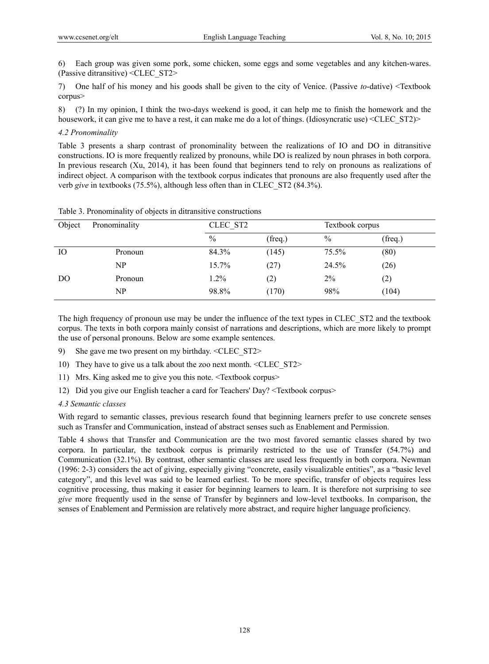6) Each group was given some pork, some chicken, some eggs and some vegetables and any kitchen-wares. (Passive ditransitive) <CLEC\_ST2>

7) One half of his money and his goods shall be given to the city of Venice. (Passive *to*-dative) <Textbook corpus>

8) (?) In my opinion, I think the two-days weekend is good, it can help me to finish the homework and the housework, it can give me to have a rest, it can make me do a lot of things. (Idiosyncratic use) <CLEC\_ST2)>

#### *4.2 Pronominality*

Table 3 presents a sharp contrast of pronominality between the realizations of IO and DO in ditransitive constructions. IO is more frequently realized by pronouns, while DO is realized by noun phrases in both corpora. In previous research (Xu, 2014), it has been found that beginners tend to rely on pronouns as realizations of indirect object. A comparison with the textbook corpus indicates that pronouns are also frequently used after the verb *give* in textbooks (75.5%), although less often than in CLEC\_ST2 (84.3%).

| Object | Pronominality |               | CLEC ST2 |               | Textbook corpus |  |
|--------|---------------|---------------|----------|---------------|-----------------|--|
|        |               | $\frac{0}{0}$ | (freq.)  | $\frac{0}{0}$ | (freq.)         |  |
| IО     | Pronoun       | 84.3%         | (145)    | 75.5%         | (80)            |  |
|        | NP            | 15.7%         | (27)     | 24.5%         | (26)            |  |
| DO     | Pronoun       | 1.2%          | (2)      | 2%            | (2)             |  |
|        | NP            | 98.8%         | (170)    | 98%           | (104)           |  |

Table 3. Pronominality of objects in ditransitive constructions

The high frequency of pronoun use may be under the influence of the text types in CLEC\_ST2 and the textbook corpus. The texts in both corpora mainly consist of narrations and descriptions, which are more likely to prompt the use of personal pronouns. Below are some example sentences.

- 9) She gave me two present on my birthday. <CLEC\_ST2>
- 10) They have to give us a talk about the zoo next month. <CLEC\_ST2>
- 11) Mrs. King asked me to give you this note. <Textbook corpus>
- 12) Did you give our English teacher a card for Teachers' Day? <Textbook corpus>

#### *4.3 Semantic classes*

With regard to semantic classes, previous research found that beginning learners prefer to use concrete senses such as Transfer and Communication, instead of abstract senses such as Enablement and Permission.

Table 4 shows that Transfer and Communication are the two most favored semantic classes shared by two corpora. In particular, the textbook corpus is primarily restricted to the use of Transfer (54.7%) and Communication (32.1%). By contrast, other semantic classes are used less frequently in both corpora. Newman (1996: 2-3) considers the act of giving, especially giving "concrete, easily visualizable entities", as a "basic level category", and this level was said to be learned earliest. To be more specific, transfer of objects requires less cognitive processing, thus making it easier for beginning learners to learn. It is therefore not surprising to see *give* more frequently used in the sense of Transfer by beginners and low-level textbooks. In comparison, the senses of Enablement and Permission are relatively more abstract, and require higher language proficiency.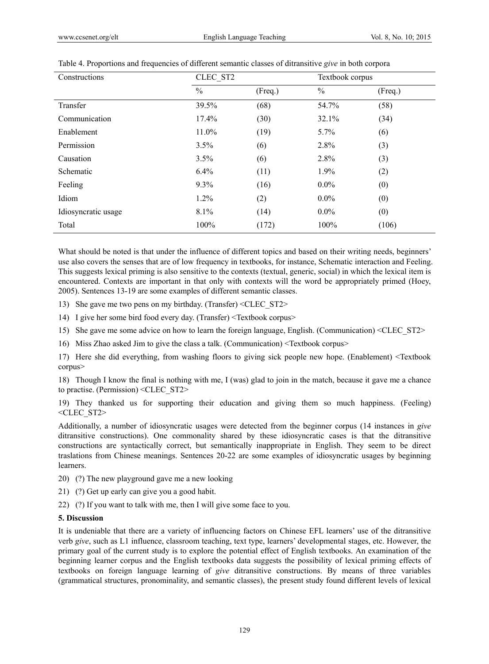| Constructions       | CLEC ST2      |         | Textbook corpus |         |
|---------------------|---------------|---------|-----------------|---------|
|                     | $\frac{0}{0}$ | (Freq.) | $\frac{0}{0}$   | (Freq.) |
| Transfer            | 39.5%         | (68)    | 54.7%           | (58)    |
| Communication       | 17.4%         | (30)    | 32.1%           | (34)    |
| Enablement          | 11.0%         | (19)    | 5.7%            | (6)     |
| Permission          | 3.5%          | (6)     | 2.8%            | (3)     |
| Causation           | 3.5%          | (6)     | 2.8%            | (3)     |
| Schematic           | 6.4%          | (11)    | 1.9%            | (2)     |
| Feeling             | 9.3%          | (16)    | $0.0\%$         | (0)     |
| Idiom               | $1.2\%$       | (2)     | $0.0\%$         | (0)     |
| Idiosyncratic usage | 8.1%          | (14)    | $0.0\%$         | (0)     |
| Total               | $100\%$       | (172)   | 100%            | (106)   |

| Table 4. Proportions and frequencies of different semantic classes of ditransitive give in both corpora |  |  |
|---------------------------------------------------------------------------------------------------------|--|--|
|                                                                                                         |  |  |

What should be noted is that under the influence of different topics and based on their writing needs, beginners' use also covers the senses that are of low frequency in textbooks, for instance, Schematic interaction and Feeling. This suggests lexical priming is also sensitive to the contexts (textual, generic, social) in which the lexical item is encountered. Contexts are important in that only with contexts will the word be appropriately primed (Hoey, 2005). Sentences 13-19 are some examples of different semantic classes.

- 13) She gave me two pens on my birthday. (Transfer) <CLEC\_ST2>
- 14) I give her some bird food every day. (Transfer) <Textbook corpus>
- 15) She gave me some advice on how to learn the foreign language, English. (Communication) <CLEC\_ST2>
- 16) Miss Zhao asked Jim to give the class a talk. (Communication) <Textbook corpus>

17) Here she did everything, from washing floors to giving sick people new hope. (Enablement) <Textbook corpus>

18) Though I know the final is nothing with me, I (was) glad to join in the match, because it gave me a chance to practise. (Permission) <CLEC\_ST2>

19) They thanked us for supporting their education and giving them so much happiness. (Feeling)  $<$ CLEC ST2>

Additionally, a number of idiosyncratic usages were detected from the beginner corpus (14 instances in *give* ditransitive constructions). One commonality shared by these idiosyncratic cases is that the ditransitive constructions are syntactically correct, but semantically inappropriate in English. They seem to be direct traslations from Chinese meanings. Sentences 20-22 are some examples of idiosyncratic usages by beginning learners.

- 20) (?) The new playground gave me a new looking
- 21) (?) Get up early can give you a good habit.
- 22) (?) If you want to talk with me, then I will give some face to you.

#### **5. Discussion**

It is undeniable that there are a variety of influencing factors on Chinese EFL learners' use of the ditransitive verb *give*, such as L1 influence, classroom teaching, text type, learners' developmental stages, etc. However, the primary goal of the current study is to explore the potential effect of English textbooks. An examination of the beginning learner corpus and the English textbooks data suggests the possibility of lexical priming effects of textbooks on foreign language learning of *give* ditransitive constructions. By means of three variables (grammatical structures, pronominality, and semantic classes), the present study found different levels of lexical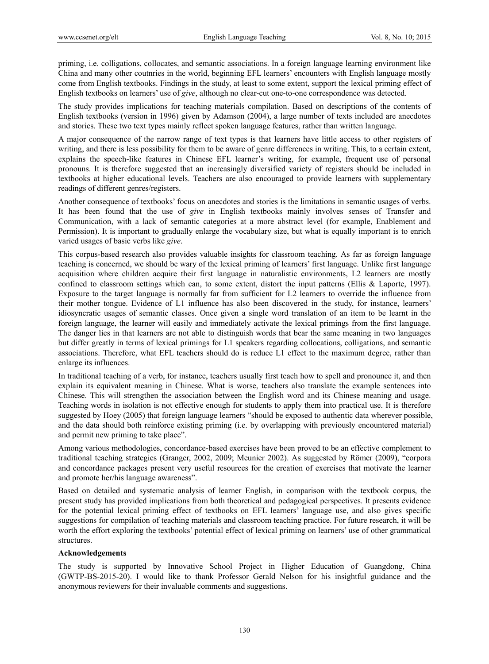priming, i.e. colligations, collocates, and semantic associations. In a foreign language learning environment like China and many other coutnries in the world, beginning EFL learners' encounters with English language mostly come from English textbooks. Findings in the study, at least to some extent, support the lexical priming effect of English textbooks on learners' use of *give*, although no clear-cut one-to-one correspondence was detected.

The study provides implications for teaching materials compilation. Based on descriptions of the contents of English textbooks (version in 1996) given by Adamson (2004), a large number of texts included are anecdotes and stories. These two text types mainly reflect spoken language features, rather than written language.

A major consequence of the narrow range of text types is that learners have little access to other registers of writing, and there is less possibility for them to be aware of genre differences in writing. This, to a certain extent, explains the speech-like features in Chinese EFL learner's writing, for example, frequent use of personal pronouns. It is therefore suggested that an increasingly diversified variety of registers should be included in textbooks at higher educational levels. Teachers are also encouraged to provide learners with supplementary readings of different genres/registers.

Another consequence of textbooks' focus on anecdotes and stories is the limitations in semantic usages of verbs. It has been found that the use of *give* in English textbooks mainly involves senses of Transfer and Communication, with a lack of semantic categories at a more abstract level (for example, Enablement and Permission). It is important to gradually enlarge the vocabulary size, but what is equally important is to enrich varied usages of basic verbs like *give*.

This corpus-based research also provides valuable insights for classroom teaching. As far as foreign language teaching is concerned, we should be wary of the lexical priming of learners' first language. Unlike first language acquisition where children acquire their first language in naturalistic environments, L2 learners are mostly confined to classroom settings which can, to some extent, distort the input patterns (Ellis & Laporte, 1997). Exposure to the target language is normally far from sufficient for L2 learners to override the influence from their mother tongue. Evidence of L1 influence has also been discovered in the study, for instance, learners' idiosyncratic usages of semantic classes. Once given a single word translation of an item to be learnt in the foreign language, the learner will easily and immediately activate the lexical primings from the first language. The danger lies in that learners are not able to distinguish words that bear the same meaning in two languages but differ greatly in terms of lexical primings for L1 speakers regarding collocations, colligations, and semantic associations. Therefore, what EFL teachers should do is reduce L1 effect to the maximum degree, rather than enlarge its influences.

In traditional teaching of a verb, for instance, teachers usually first teach how to spell and pronounce it, and then explain its equivalent meaning in Chinese. What is worse, teachers also translate the example sentences into Chinese. This will strengthen the association between the English word and its Chinese meaning and usage. Teaching words in isolation is not effective enough for students to apply them into practical use. It is therefore suggested by Hoey (2005) that foreign language learners "should be exposed to authentic data wherever possible, and the data should both reinforce existing priming (i.e. by overlapping with previously encountered material) and permit new priming to take place".

Among various methodologies, concordance-based exercises have been proved to be an effective complement to traditional teaching strategies (Granger, 2002, 2009; Meunier 2002). As suggested by Römer (2009), "corpora and concordance packages present very useful resources for the creation of exercises that motivate the learner and promote her/his language awareness".

Based on detailed and systematic analysis of learner English, in comparison with the textbook corpus, the present study has provided implications from both theoretical and pedagogical perspectives. It presents evidence for the potential lexical priming effect of textbooks on EFL learners' language use, and also gives specific suggestions for compilation of teaching materials and classroom teaching practice. For future research, it will be worth the effort exploring the textbooks' potential effect of lexical priming on learners' use of other grammatical structures.

#### **Acknowledgements**

The study is supported by Innovative School Project in Higher Education of Guangdong, China (GWTP-BS-2015-20). I would like to thank Professor Gerald Nelson for his insightful guidance and the anonymous reviewers for their invaluable comments and suggestions.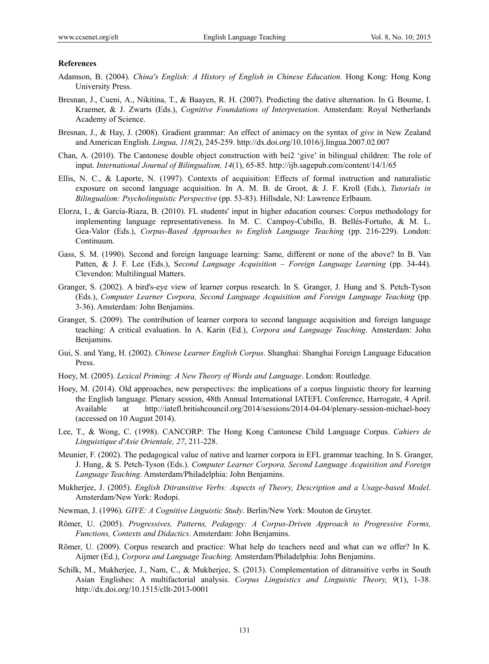#### **References**

- Adamson, B. (2004). *China's English: A History of English in Chinese Education.* Hong Kong: Hong Kong University Press.
- Bresnan, J., Cueni, A., Nikitina, T., & Baayen, R. H. (2007). Predicting the dative alternation. In G. Boume, I. Kraemer, & J. Zwarts (Eds.), *Cognitive Foundations of Interpretation*. Amsterdam: Royal Netherlands Academy of Science.
- Bresnan, J., & Hay, J. (2008). Gradient grammar: An effect of animacy on the syntax of *give* in New Zealand and American English. *Lingua, 118*(2), 245-259. http://dx.doi.org/10.1016/j.lingua.2007.02.007
- Chan, A. (2010). The Cantonese double object construction with bei2 'give' in bilingual children: The role of input. *International Journal of Bilingualism, 14*(1), 65-85. http://ijb.sagepub.com/content/14/1/65
- Ellis, N. C., & Laporte, N. (1997). Contexts of acquisition: Effects of formal instruction and naturalistic exposure on second language acquisition. In A. M. B. de Groot, & J. F. Kroll (Eds.), *Tutorials in Bilingualism: Psycholinguistic Perspective* (pp. 53-83). Hillsdale, NJ: Lawrence Erlbaum.
- Elorza, I., & García-Riaza, B. (2010). FL students' input in higher education courses: Corpus methodology for implementing language representativeness. In M. C. Campoy-Cubillo, B. Bellés-Fortuño, & M. L. Gea-Valor (Eds.), *Corpus-Based Approaches to English Language Teaching* (pp. 216-229). London: Continuum.
- Gass, S. M. (1990). Second and foreign language learning: Same, different or none of the above? In B. Van Patten, & J. F. Lee (Eds.), S*econd Language Acquisition – Foreign Language Learning* (pp. 34-44). Clevendon: Multilingual Matters.
- Granger, S. (2002). A bird's-eye view of learner corpus research. In S. Granger, J. Hung and S. Petch-Tyson (Eds.), *Computer Learner Corpora, Second Language Acquisition and Foreign Language Teaching* (pp. 3-36). Amsterdam: John Benjamins.
- Granger, S. (2009). The contribution of learner corpora to second language acquisition and foreign language teaching: A critical evaluation. In A. Karin (Ed.), *Corpora and Language Teaching*. Amsterdam: John Benjamins.
- Gui, S. and Yang, H. (2002). *Chinese Learner English Corpus*. Shanghai: Shanghai Foreign Language Education Press.
- Hoey, M. (2005). *Lexical Priming: A New Theory of Words and Language*. London: Routledge.
- Hoey, M. (2014). Old approaches, new perspectives: the implications of a corpus linguistic theory for learning the English language. Plenary session, 48th Annual International IATEFL Conference, Harrogate, 4 April. Available at http://iatefl.britishcouncil.org/2014/sessions/2014-04-04/plenary-session-michael-hoey (accessed on 10 August 2014).
- Lee, T., & Wong, C. (1998). CANCORP: The Hong Kong Cantonese Child Language Corpus. *Cahiers de Linguistique d'Asie Orientale, 27*, 211-228.
- Meunier, F. (2002). The pedagogical value of native and learner corpora in EFL grammar teaching. In S. Granger, J. Hung, & S. Petch-Tyson (Eds.). *Computer Learner Corpora, Second Language Acquisition and Foreign Language Teaching*. Amsterdam/Philadelphia: John Benjamins.
- Mukherjee, J. (2005). *English Ditransitive Verbs: Aspects of Theory, Description and a Usage-based Model*. Amsterdam/New York: Rodopi.
- Newman, J. (1996). *GIVE: A Cognitive Linguistic Study*. Berlin/New York: Mouton de Gruyter.
- Römer, U. (2005). *Progressives, Patterns, Pedagogy: A Corpus-Driven Approach to Progressive Forms, Functions, Contexts and Didactics*. Amsterdam: John Benjamins.
- Römer, U. (2009). Corpus research and practice: What help do teachers need and what can we offer? In K. Aijmer (Ed.), *Corpora and Language Teaching.* Amsterdam/Philadelphia: John Benjamins.
- Schilk, M., Mukherjee, J., Nam, C., & Mukherjee, S. (2013). Complementation of ditransitive verbs in South Asian Englishes: A multifactorial analysis. *Corpus Linguistics and Linguistic Theory, 9*(1), 1-38. http://dx.doi.org/10.1515/cllt-2013-0001